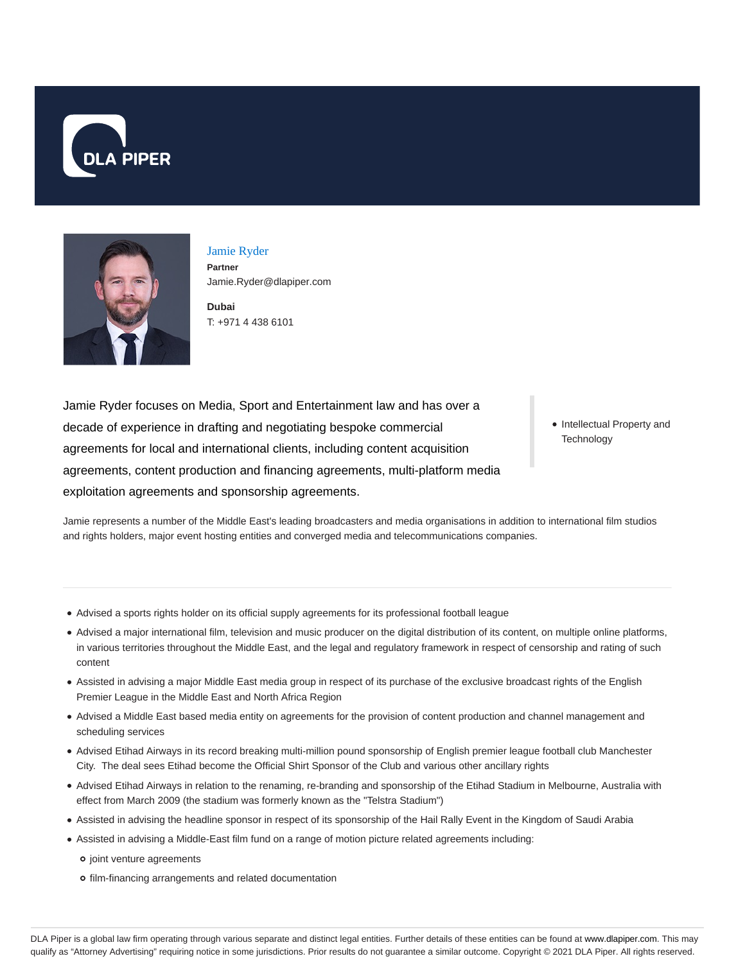



Jamie Ryder **Partner** Jamie.Ryder@dlapiper.com

**Dubai** T: +971 4 438 6101

Jamie Ryder focuses on Media, Sport and Entertainment law and has over a decade of experience in drafting and negotiating bespoke commercial agreements for local and international clients, including content acquisition agreements, content production and financing agreements, multi-platform media exploitation agreements and sponsorship agreements.

• Intellectual Property and **Technology** 

Jamie represents a number of the Middle East's leading broadcasters and media organisations in addition to international film studios and rights holders, major event hosting entities and converged media and telecommunications companies.

- Advised a sports rights holder on its official supply agreements for its professional football league
- Advised a major international film, television and music producer on the digital distribution of its content, on multiple online platforms, in various territories throughout the Middle East, and the legal and regulatory framework in respect of censorship and rating of such content
- Assisted in advising a major Middle East media group in respect of its purchase of the exclusive broadcast rights of the English Premier League in the Middle East and North Africa Region
- Advised a Middle East based media entity on agreements for the provision of content production and channel management and scheduling services
- Advised Etihad Airways in its record breaking multi-million pound sponsorship of English premier league football club Manchester City. The deal sees Etihad become the Official Shirt Sponsor of the Club and various other ancillary rights
- Advised Etihad Airways in relation to the renaming, re-branding and sponsorship of the Etihad Stadium in Melbourne, Australia with effect from March 2009 (the stadium was formerly known as the "Telstra Stadium")
- Assisted in advising the headline sponsor in respect of its sponsorship of the Hail Rally Event in the Kingdom of Saudi Arabia
- Assisted in advising a Middle-East film fund on a range of motion picture related agreements including:
	- o joint venture agreements
	- film-financing arrangements and related documentation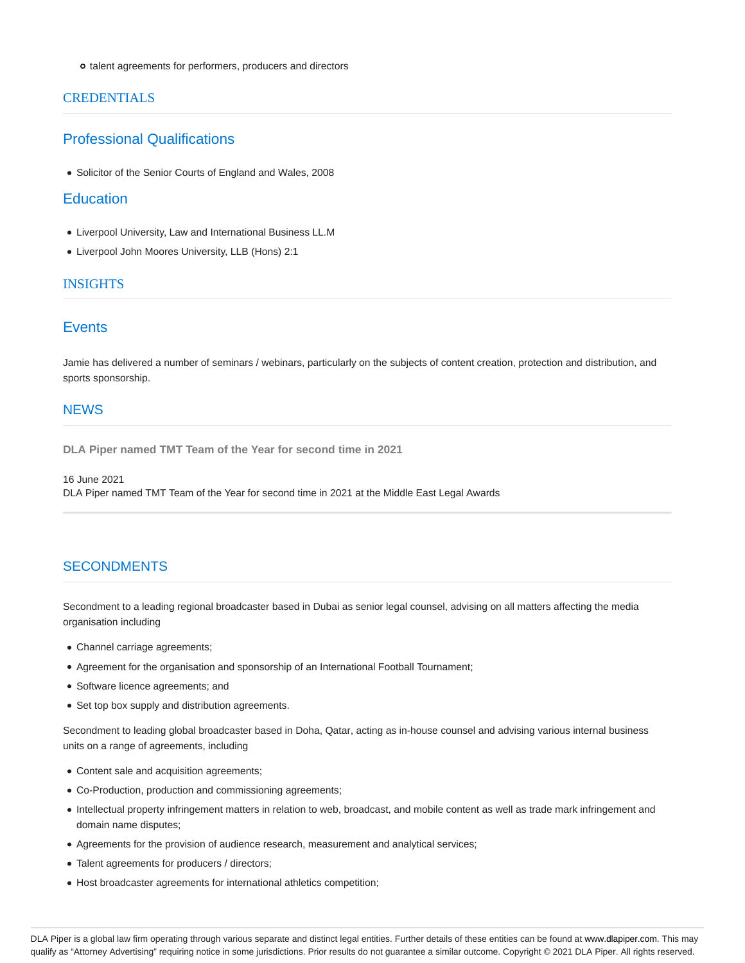o talent agreements for performers, producers and directors

### CREDENTIALS

### Professional Qualifications

Solicitor of the Senior Courts of England and Wales, 2008

#### **Education**

- Liverpool University, Law and International Business LL.M
- Liverpool John Moores University, LLB (Hons) 2:1

### **INSIGHTS**

# **Events**

Jamie has delivered a number of seminars / webinars, particularly on the subjects of content creation, protection and distribution, and sports sponsorship.

### **NEWS**

**DLA Piper named TMT Team of the Year for second time in 2021**

16 June 2021 DLA Piper named TMT Team of the Year for second time in 2021 at the Middle East Legal Awards

# **SECONDMENTS**

Secondment to a leading regional broadcaster based in Dubai as senior legal counsel, advising on all matters affecting the media organisation including

- Channel carriage agreements;
- Agreement for the organisation and sponsorship of an International Football Tournament;
- Software licence agreements; and
- Set top box supply and distribution agreements.

Secondment to leading global broadcaster based in Doha, Qatar, acting as in-house counsel and advising various internal business units on a range of agreements, including

- Content sale and acquisition agreements;
- Co-Production, production and commissioning agreements;
- Intellectual property infringement matters in relation to web, broadcast, and mobile content as well as trade mark infringement and domain name disputes;
- Agreements for the provision of audience research, measurement and analytical services;
- Talent agreements for producers / directors;
- Host broadcaster agreements for international athletics competition;